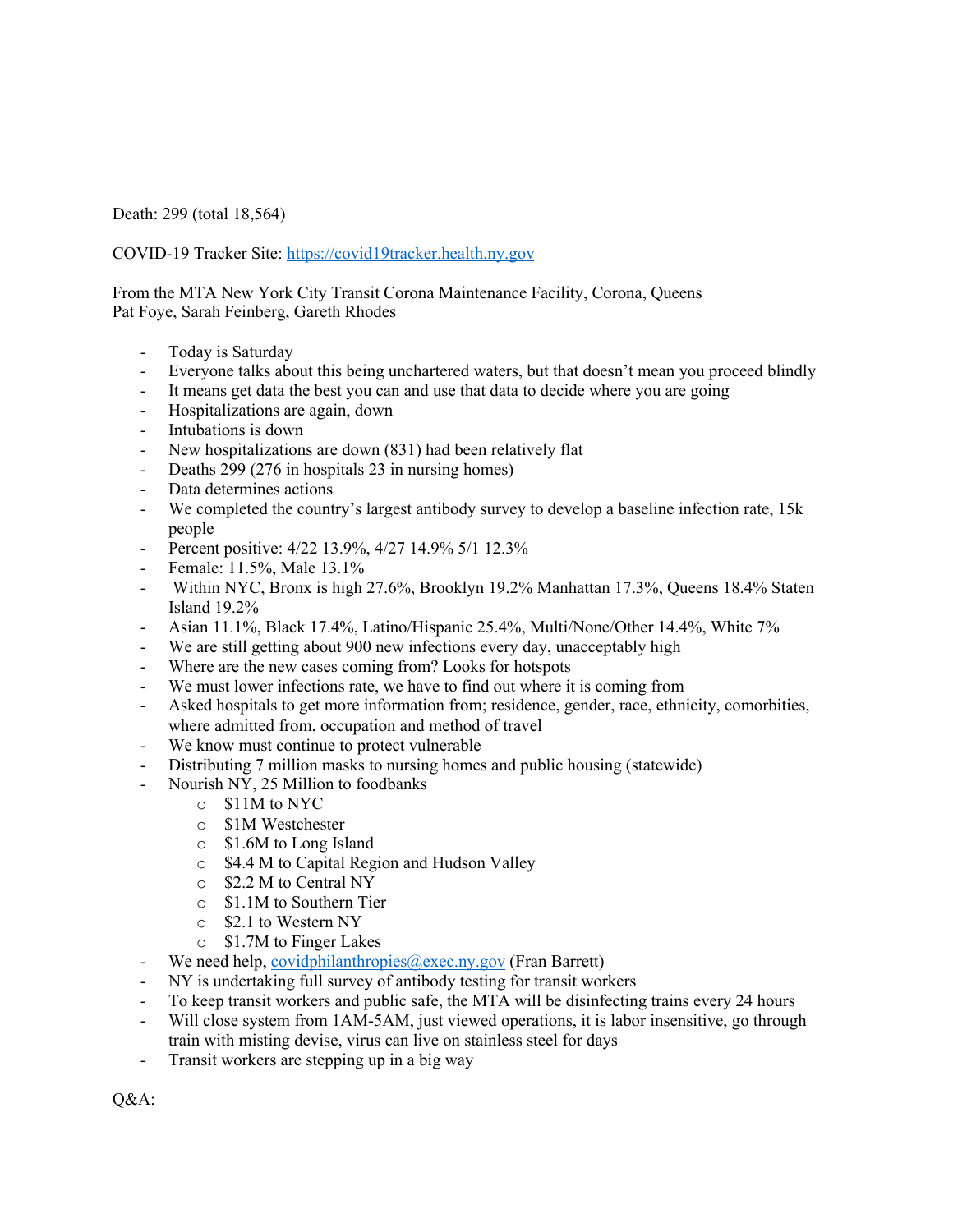Death: 299 (total 18,564)

COVID-19 Tracker Site: https://covid19tracker.health.ny.gov

From the MTA New York City Transit Corona Maintenance Facility, Corona, Queens Pat Foye, Sarah Feinberg, Gareth Rhodes

- Today is Saturday
- Everyone talks about this being unchartered waters, but that doesn't mean you proceed blindly
- It means get data the best you can and use that data to decide where you are going
- Hospitalizations are again, down
- Intubations is down
- New hospitalizations are down (831) had been relatively flat
- Deaths 299 (276 in hospitals 23 in nursing homes)
- Data determines actions
- We completed the country's largest antibody survey to develop a baseline infection rate, 15k people
- Percent positive:  $4/22$  13.9%,  $4/27$  14.9%  $5/1$  12.3%
- Female: 11.5%, Male 13.1%
- Within NYC, Bronx is high 27.6%, Brooklyn 19.2% Manhattan 17.3%, Queens 18.4% Staten Island 19.2%
- Asian 11.1%, Black 17.4%, Latino/Hispanic 25.4%, Multi/None/Other 14.4%, White 7%
- We are still getting about 900 new infections every day, unacceptably high
- Where are the new cases coming from? Looks for hotspots
- We must lower infections rate, we have to find out where it is coming from
- Asked hospitals to get more information from; residence, gender, race, ethnicity, comorbities, where admitted from, occupation and method of travel
- We know must continue to protect vulnerable
- Distributing 7 million masks to nursing homes and public housing (statewide)
- Nourish NY, 25 Million to foodbanks
	- o \$11M to NYC
	- o \$1M Westchester
	- o \$1.6M to Long Island
	- o \$4.4 M to Capital Region and Hudson Valley
	- o \$2.2 M to Central NY
	- o \$1.1M to Southern Tier
	- o \$2.1 to Western NY
	- o \$1.7M to Finger Lakes
- We need help, covidphilanthropies@exec.ny.gov (Fran Barrett)
- NY is undertaking full survey of antibody testing for transit workers
- To keep transit workers and public safe, the MTA will be disinfecting trains every 24 hours
- Will close system from 1AM-5AM, just viewed operations, it is labor insensitive, go through train with misting devise, virus can live on stainless steel for days
- Transit workers are stepping up in a big way

Q&A: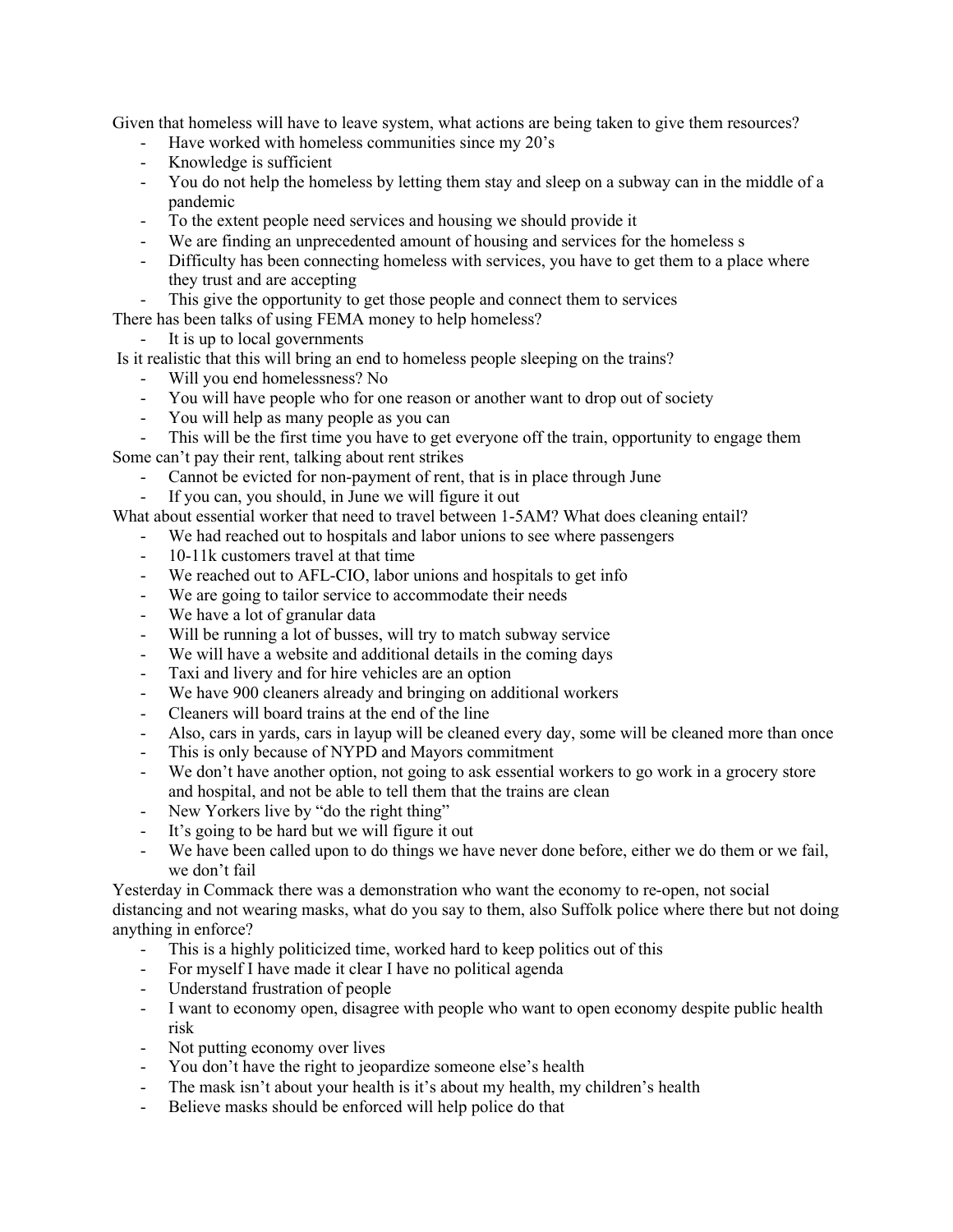Given that homeless will have to leave system, what actions are being taken to give them resources?

- Have worked with homeless communities since my 20's
- Knowledge is sufficient
- You do not help the homeless by letting them stay and sleep on a subway can in the middle of a pandemic
- To the extent people need services and housing we should provide it
- We are finding an unprecedented amount of housing and services for the homeless s
- Difficulty has been connecting homeless with services, you have to get them to a place where they trust and are accepting
- This give the opportunity to get those people and connect them to services

There has been talks of using FEMA money to help homeless?

- It is up to local governments

Is it realistic that this will bring an end to homeless people sleeping on the trains?

- Will you end homelessness? No
- You will have people who for one reason or another want to drop out of society
- You will help as many people as you can

- This will be the first time you have to get everyone off the train, opportunity to engage them Some can't pay their rent, talking about rent strikes

- Cannot be evicted for non-payment of rent, that is in place through June
- If you can, you should, in June we will figure it out

What about essential worker that need to travel between 1-5AM? What does cleaning entail?

- We had reached out to hospitals and labor unions to see where passengers
- 10-11k customers travel at that time
- We reached out to AFL-CIO, labor unions and hospitals to get info
- We are going to tailor service to accommodate their needs
- We have a lot of granular data
- Will be running a lot of busses, will try to match subway service
- We will have a website and additional details in the coming days
- Taxi and livery and for hire vehicles are an option
- We have 900 cleaners already and bringing on additional workers
- Cleaners will board trains at the end of the line
- Also, cars in yards, cars in layup will be cleaned every day, some will be cleaned more than once
- This is only because of NYPD and Mayors commitment
- We don't have another option, not going to ask essential workers to go work in a grocery store and hospital, and not be able to tell them that the trains are clean
- New Yorkers live by "do the right thing"
- It's going to be hard but we will figure it out
- We have been called upon to do things we have never done before, either we do them or we fail, we don't fail

Yesterday in Commack there was a demonstration who want the economy to re-open, not social distancing and not wearing masks, what do you say to them, also Suffolk police where there but not doing anything in enforce?

- This is a highly politicized time, worked hard to keep politics out of this
- For myself I have made it clear I have no political agenda
- Understand frustration of people
- I want to economy open, disagree with people who want to open economy despite public health risk
- Not putting economy over lives
- You don't have the right to jeopardize someone else's health
- The mask isn't about your health is it's about my health, my children's health
- Believe masks should be enforced will help police do that